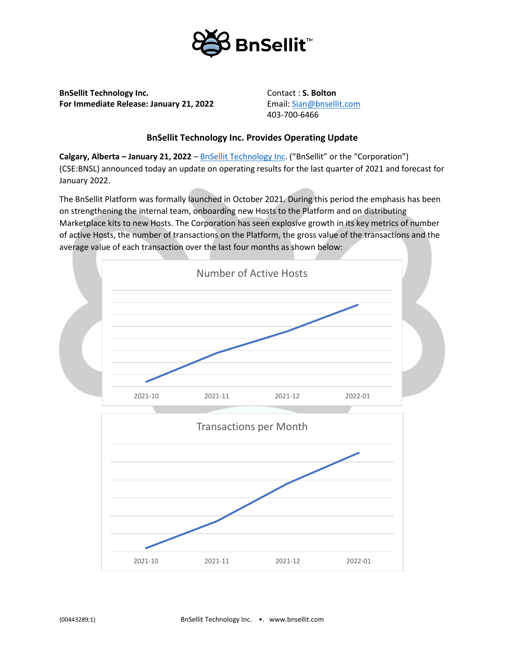

**BnSellit Technology Inc. Contact : S. Bolton For Immediate Release: January 21, 2022** Email: [Sian@bnsellit.com](mailto:Sian@bnsellit.com)

403-700-6466

## **BnSellit Technology Inc. Provides Operating Update**

**Calgary, Alberta – January 21, 2022** – [BnSellit Technology Inc.](https://bnsellit.com/) ("BnSellit" or the "Corporation") (CSE:BNSL) announced today an update on operating results for the last quarter of 2021 and forecast for January 2022.

The BnSellit Platform was formally launched in October 2021. During this period the emphasis has been on strengthening the internal team, onboarding new Hosts to the Platform and on distributing Marketplace kits to new Hosts. The Corporation has seen explosive growth in its key metrics of number of active Hosts, the number of transactions on the Platform, the gross value of the transactions and the average value of each transaction over the last four months as shown below:

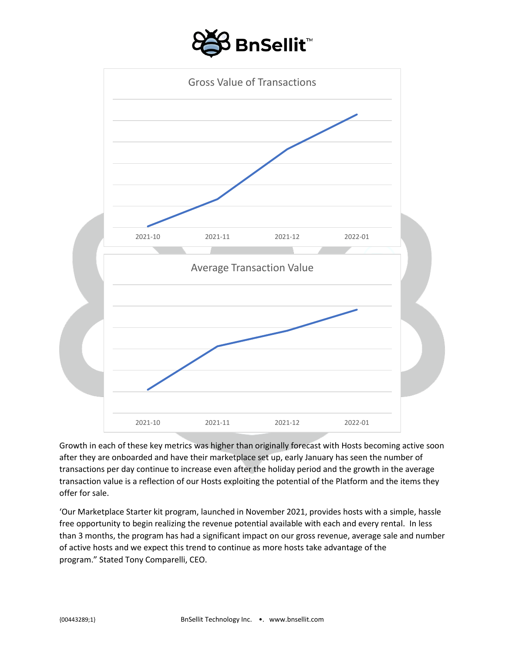



Growth in each of these key metrics was higher than originally forecast with Hosts becoming active soon after they are onboarded and have their marketplace set up, early January has seen the number of transactions per day continue to increase even after the holiday period and the growth in the average transaction value is a reflection of our Hosts exploiting the potential of the Platform and the items they offer for sale.

'Our Marketplace Starter kit program, launched in November 2021, provides hosts with a simple, hassle free opportunity to begin realizing the revenue potential available with each and every rental. In less than 3 months, the program has had a significant impact on our gross revenue, average sale and number of active hosts and we expect this trend to continue as more hosts take advantage of the program." Stated Tony Comparelli, CEO.